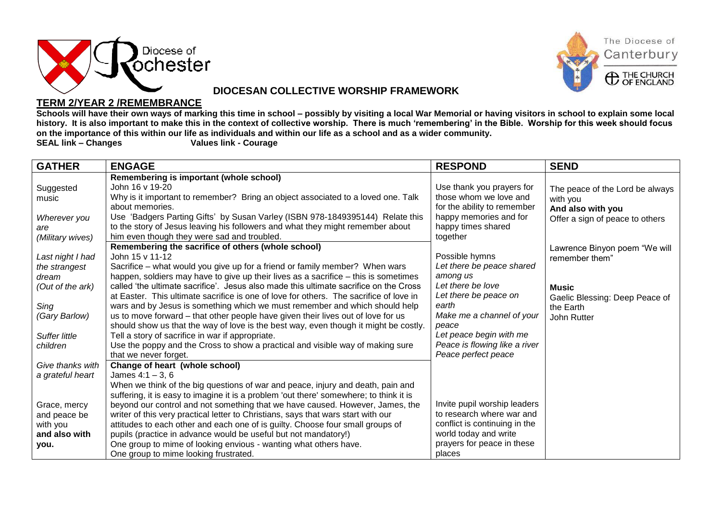



#### **DIOCESAN COLLECTIVE WORSHIP FRAMEWORK**

#### **TERM 2/YEAR 2 /REMEMBRANCE**

**Schools will have their own ways of marking this time in school – possibly by visiting a local War Memorial or having visitors in school to explain some local history. It is also important to make this in the context of collective worship. There is much 'remembering' in the Bible. Worship for this week should focus on the importance of this within our life as individuals and within our life as a school and as a wider community.**

**Values link - Courage** 

| <b>GATHER</b>        | <b>ENGAGE</b>                                                                          | <b>RESPOND</b>                | <b>SEND</b>                     |
|----------------------|----------------------------------------------------------------------------------------|-------------------------------|---------------------------------|
|                      | Remembering is important (whole school)                                                |                               |                                 |
| Suggested            | John 16 v 19-20                                                                        | Use thank you prayers for     | The peace of the Lord be always |
| music                | Why is it important to remember? Bring an object associated to a loved one. Talk       | those whom we love and        | with you                        |
|                      | about memories.                                                                        | for the ability to remember   | And also with you               |
| Wherever you         | Use 'Badgers Parting Gifts' by Susan Varley (ISBN 978-1849395144) Relate this          | happy memories and for        | Offer a sign of peace to others |
| are                  | to the story of Jesus leaving his followers and what they might remember about         | happy times shared            |                                 |
| (Military wives)     | him even though they were sad and troubled.                                            | together                      |                                 |
|                      | Remembering the sacrifice of others (whole school)                                     |                               | Lawrence Binyon poem "We will   |
| Last night I had     | John 15 v 11-12                                                                        | Possible hymns                | remember them"                  |
| the strangest        | Sacrifice – what would you give up for a friend or family member? When wars            | Let there be peace shared     |                                 |
| dream                | happen, soldiers may have to give up their lives as a sacrifice - this is sometimes    | among us                      |                                 |
| (Out of the ark)     | called 'the ultimate sacrifice'. Jesus also made this ultimate sacrifice on the Cross  | Let there be love             | <b>Music</b>                    |
|                      | at Easter. This ultimate sacrifice is one of love for others. The sacrifice of love in | Let there be peace on         | Gaelic Blessing: Deep Peace of  |
| Sing                 | wars and by Jesus is something which we must remember and which should help            | earth                         | the Earth                       |
| (Gary Barlow)        | us to move forward – that other people have given their lives out of love for us       | Make me a channel of your     | John Rutter                     |
|                      | should show us that the way of love is the best way, even though it might be costly.   | peace                         |                                 |
| <b>Suffer little</b> | Tell a story of sacrifice in war if appropriate.                                       | Let peace begin with me       |                                 |
| children             | Use the poppy and the Cross to show a practical and visible way of making sure         | Peace is flowing like a river |                                 |
|                      | that we never forget.                                                                  | Peace perfect peace           |                                 |
| Give thanks with     | Change of heart (whole school)                                                         |                               |                                 |
| a grateful heart     | James $4:1 - 3, 6$                                                                     |                               |                                 |
|                      | When we think of the big questions of war and peace, injury and death, pain and        |                               |                                 |
|                      | suffering, it is easy to imagine it is a problem 'out there' somewhere; to think it is |                               |                                 |
| Grace, mercy         | beyond our control and not something that we have caused. However, James, the          | Invite pupil worship leaders  |                                 |
| and peace be         | writer of this very practical letter to Christians, says that wars start with our      | to research where war and     |                                 |
| with you             | attitudes to each other and each one of is guilty. Choose four small groups of         | conflict is continuing in the |                                 |
| and also with        | pupils (practice in advance would be useful but not mandatory!)                        | world today and write         |                                 |
| you.                 | One group to mime of looking envious - wanting what others have.                       | prayers for peace in these    |                                 |
|                      | One group to mime looking frustrated.                                                  | places                        |                                 |